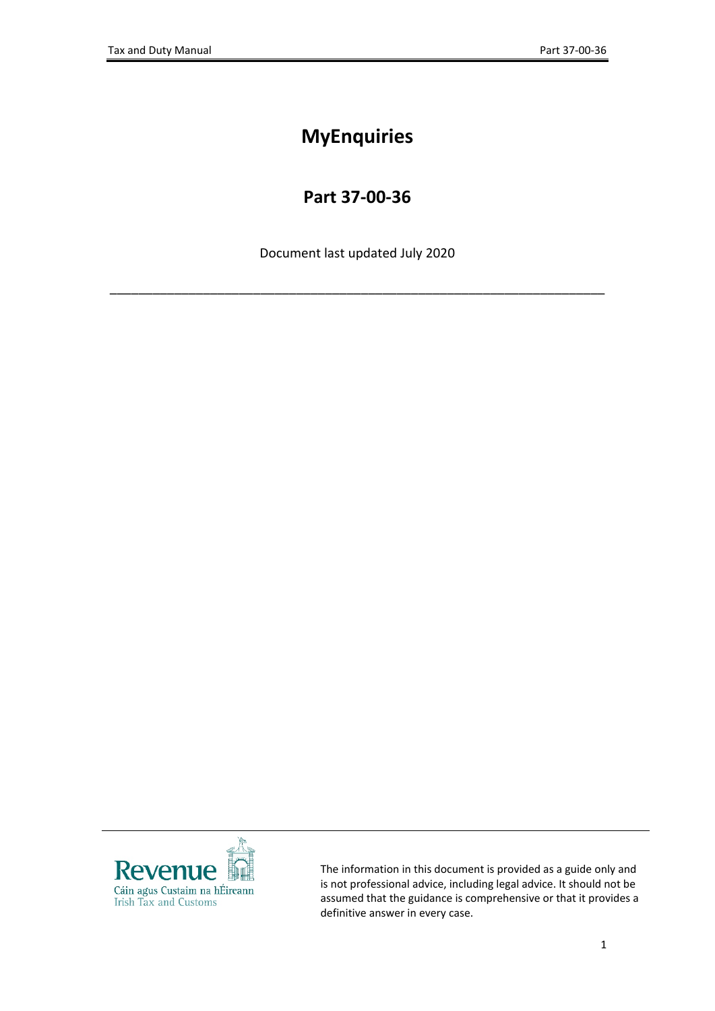# **MyEnquiries**

## **Part 37-00-36**

Document last updated July 2020

\_\_\_\_\_\_\_\_\_\_\_\_\_\_\_\_\_\_\_\_\_\_\_\_\_\_\_\_\_\_\_\_\_\_\_\_\_\_\_\_\_\_\_\_\_\_\_\_\_\_\_\_\_\_\_\_\_\_\_\_\_\_\_\_\_\_\_\_\_



The information in this document is provided as a guide only and is not professional advice, including legal advice. It should not be assumed that the guidance is comprehensive or that it provides a definitive answer in every case.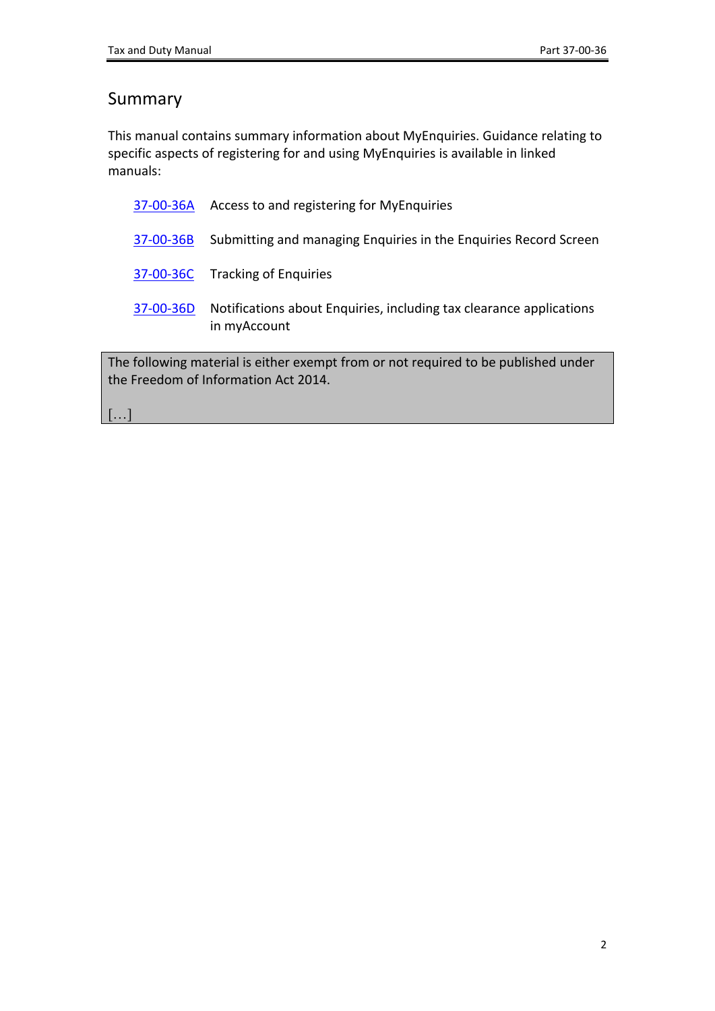## Summary

This manual contains summary information about MyEnquiries. Guidance relating to specific aspects of registering for and using MyEnquiries is available in linked manuals:

| following material is either exempt from or not required to be published under |                                                                                     |
|--------------------------------------------------------------------------------|-------------------------------------------------------------------------------------|
| 37-00-36D                                                                      | Notifications about Enquiries, including tax clearance applications<br>in myAccount |
|                                                                                | 37-00-36C Tracking of Enquiries                                                     |
| 37-00-36B                                                                      | Submitting and managing Enquiries in the Enquiries Record Screen                    |
| 37-00-36A                                                                      | Access to and registering for MyEnquiries                                           |

The following material is either exempt from or not required to be published under the Freedom of Information Act 2014.

[…]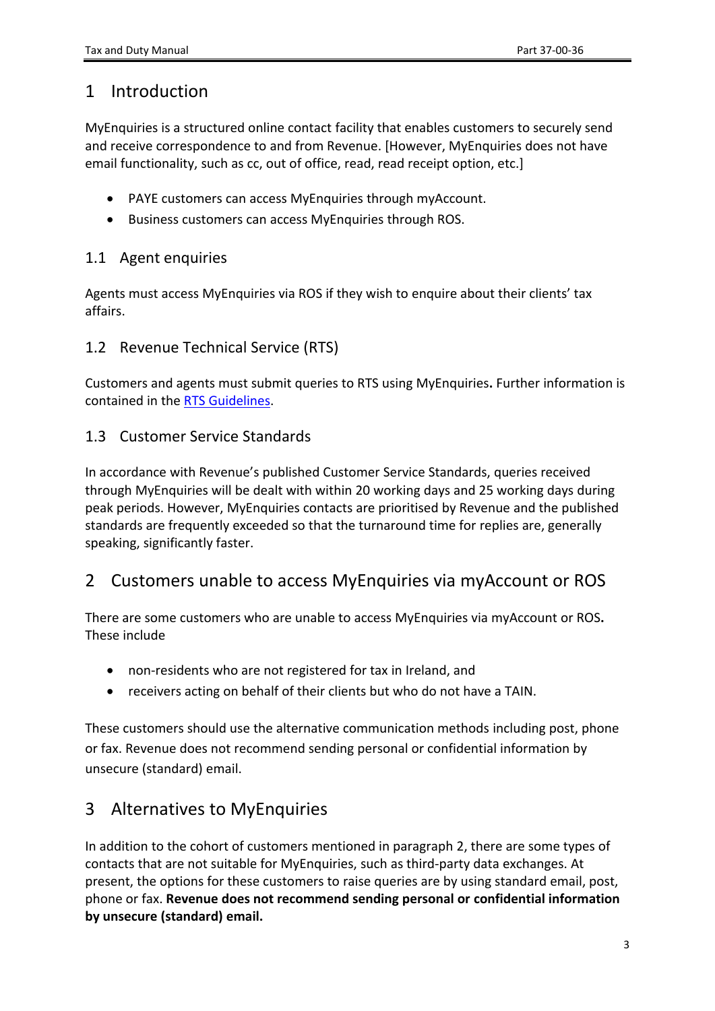### 1 Introduction

MyEnquiries is a structured online contact facility that enables customers to securely send and receive correspondence to and from Revenue. [However, MyEnquiries does not have email functionality, such as cc, out of office, read, read receipt option, etc.]

- PAYE customers can access MyEnquiries through myAccount.
- Business customers can access MyEnquiries through ROS.

#### 1.1 Agent enquiries

Agents must access MyEnquiries via ROS if they wish to enquire about their clients' tax affairs.

#### 1.2 Revenue Technical Service (RTS)

Customers and agents must submit queries to RTS using MyEnquiries**.** Further information is contained in the [RTS](https://www.revenue.ie/en/tax-professionals/tdm/income-tax-capital-gains-tax-corporation-tax/part-37/37-00-00a.pdf) [Guidelines](https://www.revenue.ie/en/tax-professionals/tdm/income-tax-capital-gains-tax-corporation-tax/part-37/37-00-00a.pdf).

#### 1.3 Customer Service Standards

In accordance with Revenue's published Customer Service Standards, queries received through MyEnquiries will be dealt with within 20 working days and 25 working days during peak periods. However, MyEnquiries contacts are prioritised by Revenue and the published standards are frequently exceeded so that the turnaround time for replies are, generally speaking, significantly faster.

### 2 Customers unable to access MyEnquiries via myAccount or ROS

There are some customers who are unable to access MyEnquiries via myAccount or ROS**.** These include

- non-residents who are not registered for tax in Ireland, and
- receivers acting on behalf of their clients but who do not have a TAIN.

These customers should use the alternative communication methods including post, phone or fax. Revenue does not recommend sending personal or confidential information by unsecure (standard) email.

### 3 Alternatives to MyEnquiries

In addition to the cohort of customers mentioned in paragraph 2, there are some types of contacts that are not suitable for MyEnquiries, such as third-party data exchanges. At present, the options for these customers to raise queries are by using standard email, post, phone or fax. **Revenue does not recommend sending personal or confidential information by unsecure (standard) email.**